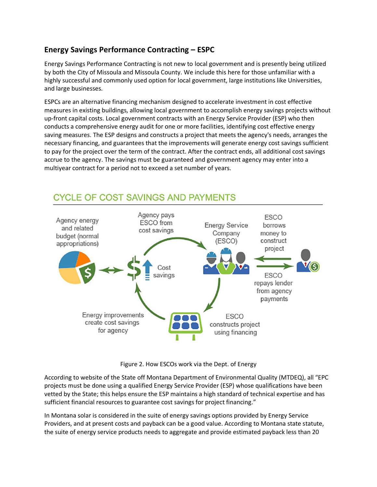## **Energy Savings Performance Contracting – ESPC**

Energy Savings Performance Contracting is not new to local government and is presently being utilized by both the City of Missoula and Missoula County. We include this here for those unfamiliar with a highly successful and commonly used option for local government, large institutions like Universities, and large businesses.

ESPCs are an alternative financing mechanism designed to accelerate investment in cost effective measures in existing buildings, allowing local government to accomplish energy savings projects without up-front capital costs. Local government contracts with an Energy Service Provider (ESP) who then conducts a comprehensive energy audit for one or more facilities, identifying cost effective energy saving measures. The ESP designs and constructs a project that meets the agency's needs, arranges the necessary financing, and guarantees that the improvements will generate energy cost savings sufficient to pay for the project over the term of the contract. After the contract ends, all additional cost savings accrue to the agency. The savings must be guaranteed and government agency may enter into a multiyear contract for a period not to exceed a set number of years.



## **CYCLE OF COST SAVINGS AND PAYMENTS**

Figure 2. How ESCOs work via the Dept. of Energy

According to website of the State off Montana Department of Environmental Quality (MTDEQ), all "EPC projects must be done using a qualified Energy Service Provider (ESP) whose qualifications have been vetted by the State; this helps ensure the ESP maintains a high standard of technical expertise and has sufficient financial resources to guarantee cost savings for project financing."

In Montana solar is considered in the suite of energy savings options provided by Energy Service Providers, and at present costs and payback can be a good value. According to Montana state statute, the suite of energy service products needs to aggregate and provide estimated payback less than 20